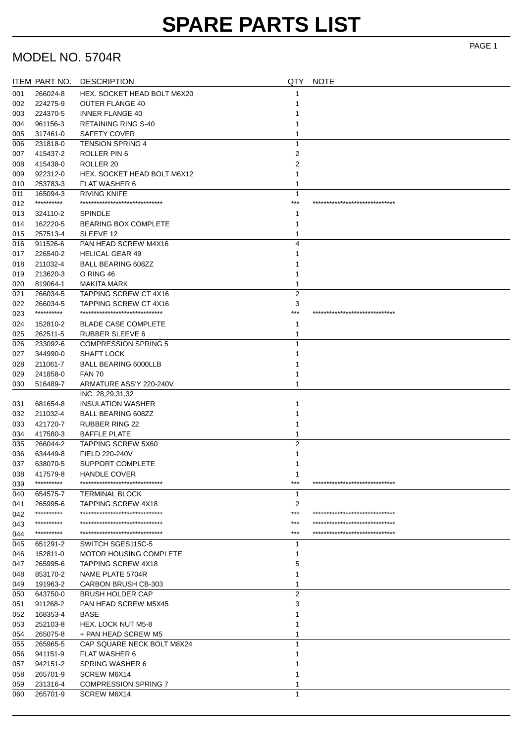# **SPARE PARTS LIST**

#### MODEL NO. 5704R

|     | ITEM PART NO. | <b>DESCRIPTION</b>              | QTY            | <b>NOTE</b>                     |
|-----|---------------|---------------------------------|----------------|---------------------------------|
| 001 | 266024-8      | HEX. SOCKET HEAD BOLT M6X20     | 1              |                                 |
| 002 | 224275-9      | <b>OUTER FLANGE 40</b>          | 1              |                                 |
| 003 | 224370-5      | <b>INNER FLANGE 40</b>          |                |                                 |
| 004 | 961156-3      | <b>RETAINING RING S-40</b>      | 1              |                                 |
| 005 | 317461-0      | <b>SAFETY COVER</b>             | 1              |                                 |
| 006 | 231818-0      | <b>TENSION SPRING 4</b>         | 1              |                                 |
| 007 | 415437-2      | ROLLER PIN 6                    | 2              |                                 |
| 008 | 415438-0      | ROLLER <sub>20</sub>            | 2              |                                 |
| 009 | 922312-0      | HEX. SOCKET HEAD BOLT M6X12     | 1              |                                 |
| 010 | 253783-3      | <b>FLAT WASHER 6</b>            | 1              |                                 |
| 011 | 165094-3      | <b>RIVING KNIFE</b>             | $\mathbf{1}$   |                                 |
| 012 | **********    | ******************************  | ***            | ******************************  |
| 013 | 324110-2      | <b>SPINDLE</b>                  | 1              |                                 |
| 014 | 162220-5      | <b>BEARING BOX COMPLETE</b>     | 1              |                                 |
| 015 | 257513-4      | SLEEVE 12                       | 1              |                                 |
| 016 | 911526-6      | PAN HEAD SCREW M4X16            | 4              |                                 |
| 017 | 226540-2      | <b>HELICAL GEAR 49</b>          | 1              |                                 |
| 018 | 211032-4      | <b>BALL BEARING 608ZZ</b>       | 1              |                                 |
| 019 | 213620-3      | O RING 46                       | 1              |                                 |
| 020 | 819064-1      | MAKITA MARK                     | 1              |                                 |
| 021 | 266034-5      | <b>TAPPING SCREW CT 4X16</b>    | 2              |                                 |
| 022 | 266034-5      | <b>TAPPING SCREW CT 4X16</b>    | 3              |                                 |
| 023 | **********    | ******************************* | ***            | ******************************  |
| 024 | 152810-2      | <b>BLADE CASE COMPLETE</b>      | 1              |                                 |
| 025 | 262511-5      | <b>RUBBER SLEEVE 6</b>          | 1              |                                 |
| 026 | 233092-6      | <b>COMPRESSION SPRING 5</b>     | 1              |                                 |
| 027 | 344990-0      | <b>SHAFT LOCK</b>               |                |                                 |
| 028 | 211061-7      | <b>BALL BEARING 6000LLB</b>     |                |                                 |
| 029 | 241858-0      | <b>FAN 70</b>                   |                |                                 |
| 030 | 516489-7      | ARMATURE ASS'Y 220-240V         | 1              |                                 |
|     |               | INC. 28, 29, 31, 32             |                |                                 |
| 031 | 681654-8      | <b>INSULATION WASHER</b>        | 1              |                                 |
| 032 | 211032-4      | <b>BALL BEARING 608ZZ</b>       | 1              |                                 |
| 033 | 421720-7      | <b>RUBBER RING 22</b>           | 1              |                                 |
| 034 | 417580-3      | <b>BAFFLE PLATE</b>             | 1              |                                 |
| 035 | 266044-2      | <b>TAPPING SCREW 5X60</b>       | $\overline{2}$ |                                 |
| 036 | 634449-8      | FIELD 220-240V                  | 1              |                                 |
| 037 | 638070-5      | <b>SUPPORT COMPLETE</b>         | 1              |                                 |
| 038 | 417579-8      | <b>HANDLE COVER</b>             | 1              |                                 |
| 039 | **********    | ******************************  | $***$          | ******************************  |
| 040 | 654575-7      | <b>TERMINAL BLOCK</b>           | 1              |                                 |
| 041 | 265995-6      | <b>TAPPING SCREW 4X18</b>       | 2              |                                 |
| 042 | **********    | ******************************  | ***            | ******************************  |
| 043 | **********    | ******************************* | ***            | ******************************* |
| 044 | **********    | ******************************  | ***            | ******************************  |
| 045 | 651291-2      | SWITCH SGES115C-5               | 1              |                                 |
| 046 | 152811-0      | <b>MOTOR HOUSING COMPLETE</b>   | 1              |                                 |
| 047 | 265995-6      | <b>TAPPING SCREW 4X18</b>       | 5              |                                 |
| 048 | 853170-2      | NAME PLATE 5704R                | 1              |                                 |
| 049 | 191963-2      | CARBON BRUSH CB-303             | 1              |                                 |
| 050 | 643750-0      | <b>BRUSH HOLDER CAP</b>         | 2              |                                 |
| 051 | 911268-2      | PAN HEAD SCREW M5X45            | 3              |                                 |
| 052 | 168353-4      | <b>BASE</b>                     | 1              |                                 |
| 053 | 252103-8      | HEX. LOCK NUT M5-8              | 1              |                                 |
| 054 | 265075-8      | + PAN HEAD SCREW M5             | 1              |                                 |
| 055 | 265965-5      | CAP SQUARE NECK BOLT M8X24      | 1              |                                 |
| 056 | 941151-9      | <b>FLAT WASHER 6</b>            |                |                                 |
| 057 | 942151-2      | <b>SPRING WASHER 6</b>          |                |                                 |
| 058 | 265701-9      | SCREW M6X14                     | 1              |                                 |
| 059 | 231316-4      | <b>COMPRESSION SPRING 7</b>     | 1              |                                 |
| 060 | 265701-9      | SCREW M6X14                     | 1              |                                 |

PAGE 1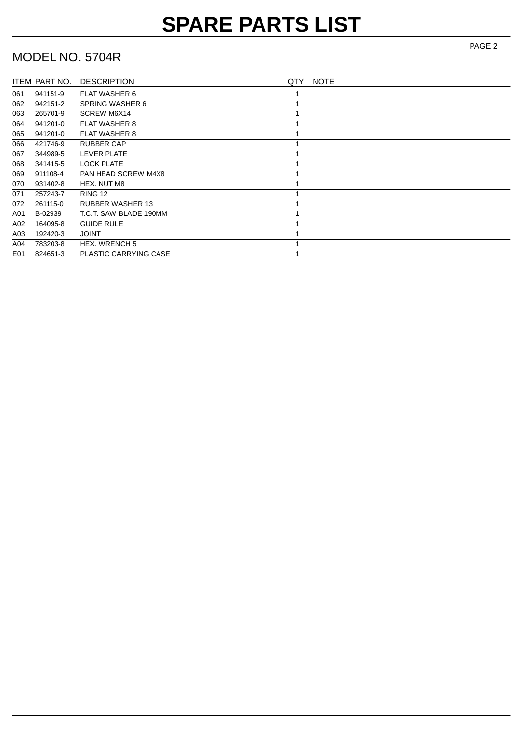### MODEL NO. 5704R

|     | ITEM PART NO. | <b>DESCRIPTION</b>           | QTY | <b>NOTE</b> |
|-----|---------------|------------------------------|-----|-------------|
| 061 | 941151-9      | <b>FLAT WASHER 6</b>         |     |             |
| 062 | 942151-2      | <b>SPRING WASHER 6</b>       |     |             |
| 063 | 265701-9      | SCREW M6X14                  |     |             |
| 064 | 941201-0      | <b>FLAT WASHER 8</b>         |     |             |
| 065 | 941201-0      | <b>FLAT WASHER 8</b>         |     |             |
| 066 | 421746-9      | <b>RUBBER CAP</b>            |     |             |
| 067 | 344989-5      | LEVER PLATE                  |     |             |
| 068 | 341415-5      | <b>LOCK PLATE</b>            |     |             |
| 069 | 911108-4      | <b>PAN HEAD SCREW M4X8</b>   |     |             |
| 070 | 931402-8      | HEX. NUT M8                  |     |             |
| 071 | 257243-7      | RING 12                      |     |             |
| 072 | 261115-0      | <b>RUBBER WASHER 13</b>      |     |             |
| A01 | B-02939       | T.C.T. SAW BLADE 190MM       |     |             |
| A02 | 164095-8      | <b>GUIDE RULE</b>            |     |             |
| A03 | 192420-3      | <b>JOINT</b>                 |     |             |
| A04 | 783203-8      | <b>HEX. WRENCH 5</b>         |     |             |
| E01 | 824651-3      | <b>PLASTIC CARRYING CASE</b> |     |             |

PAGE 2